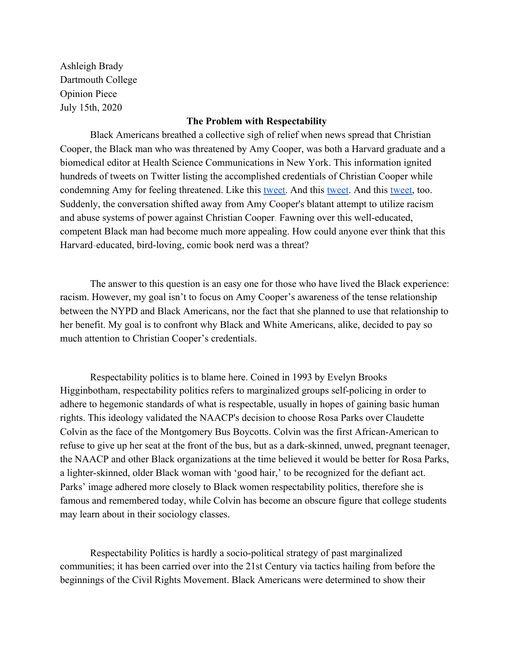Ashleigh Brady Dartmouth College Opinion Piece July 15th, 2020

## **The Problem with Respectability**

Black Americans breathed a collective sigh of relief when news spread that Christian Cooper, the Black man who was threatened by Amy Cooper, was both a Harvard graduate and a biomedical editor at Health Science Communications in New York. This information ignited hundreds of tweets on Twitter listing the accomplished credentials of Christian Cooper while condemning Amy for feeling threatened. Like this [tweet.](https://twitter.com/ShawnteJamesMD/status/1265396192940380160) And this [tweet.](https://twitter.com/MsActiviss/status/1265349887098597384) And this [tweet,](https://twitter.com/BaeSaysHey/status/1265362591779639297) too. Suddenly, the conversation shifted away from Amy Cooper's blatant attempt to utilize racism and abuse systems of power against Christian Cooper. Fawning over this well-educated, competent Black man had become much more appealing. How could anyone ever think that this Harvard-educated, bird-loving, comic book nerd was a threat?

The answer to this question is an easy one for those who have lived the Black experience: racism. However, my goal isn't to focus on Amy Cooper's awareness of the tense relationship between the NYPD and Black Americans, nor the fact that she planned to use that relationship to her benefit. My goal is to confront why Black and White Americans, alike, decided to pay so much attention to Christian Cooper's credentials.

Respectability politics is to blame here. Coined in 1993 by Evelyn Brooks Higginbotham, respectability politics refers to marginalized groups self-policing in order to adhere to hegemonic standards of what is respectable, usually in hopes of gaining basic human rights. This ideology validated the NAACP's decision to choose Rosa Parks over Claudette Colvin as the face of the Montgomery Bus Boycotts. Colvin was the first African-American to refuse to give up her seat at the front of the bus, but as a dark-skinned, unwed, pregnant teenager, the NAACP and other Black organizations at the time believed it would be better for Rosa Parks, a lighter-skinned, older Black woman with 'good hair,' to be recognized for the defiant act. Parks' image adhered more closely to Black women respectability politics, therefore she is famous and remembered today, while Colvin has become an obscure figure that college students may learn about in their sociology classes.

Respectability Politics is hardly a socio-political strategy of past marginalized communities; it has been carried over into the 21st Century via tactics hailing from before the beginnings of the Civil Rights Movement. Black Americans were determined to show their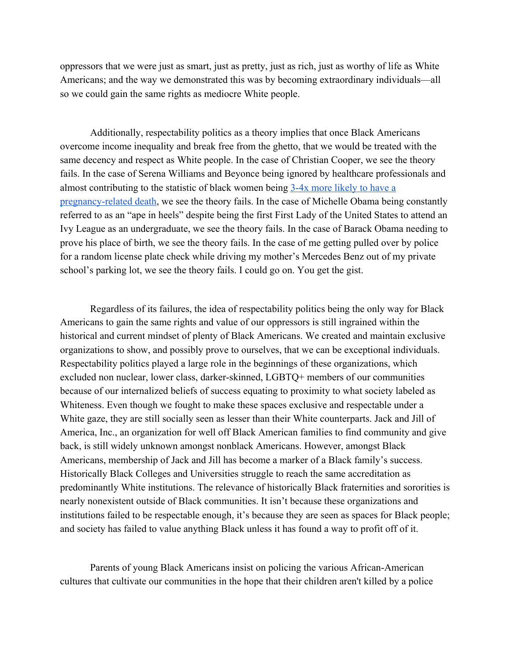oppressors that we were just as smart, just as pretty, just as rich, just as worthy of life as White Americans; and the way we demonstrated this was by becoming extraordinary individuals––all so we could gain the same rights as mediocre White people.

Additionally, respectability politics as a theory implies that once Black Americans overcome income inequality and break free from the ghetto, that we would be treated with the same decency and respect as White people. In the case of Christian Cooper, we see the theory fails. In the case of Serena Williams and Beyonce being ignored by healthcare professionals and almost contributing to the statistic of black women being [3-4x more likely to have a](https://www.cdc.gov/grand-rounds/pp/2017/20171114-maternal-mortality.html) [pregnancy-related death,](https://www.cdc.gov/grand-rounds/pp/2017/20171114-maternal-mortality.html) we see the theory fails. In the case of Michelle Obama being constantly referred to as an "ape in heels" despite being the first First Lady of the United States to attend an Ivy League as an undergraduate, we see the theory fails. In the case of Barack Obama needing to prove his place of birth, we see the theory fails. In the case of me getting pulled over by police for a random license plate check while driving my mother's Mercedes Benz out of my private school's parking lot, we see the theory fails. I could go on. You get the gist.

Regardless of its failures, the idea of respectability politics being the only way for Black Americans to gain the same rights and value of our oppressors is still ingrained within the historical and current mindset of plenty of Black Americans. We created and maintain exclusive organizations to show, and possibly prove to ourselves, that we can be exceptional individuals. Respectability politics played a large role in the beginnings of these organizations, which excluded non nuclear, lower class, darker-skinned, LGBTQ+ members of our communities because of our internalized beliefs of success equating to proximity to what society labeled as Whiteness. Even though we fought to make these spaces exclusive and respectable under a White gaze, they are still socially seen as lesser than their White counterparts. Jack and Jill of America, Inc., an organization for well off Black American families to find community and give back, is still widely unknown amongst nonblack Americans. However, amongst Black Americans, membership of Jack and Jill has become a marker of a Black family's success. Historically Black Colleges and Universities struggle to reach the same accreditation as predominantly White institutions. The relevance of historically Black fraternities and sororities is nearly nonexistent outside of Black communities. It isn't because these organizations and institutions failed to be respectable enough, it's because they are seen as spaces for Black people; and society has failed to value anything Black unless it has found a way to profit off of it.

Parents of young Black Americans insist on policing the various African-American cultures that cultivate our communities in the hope that their children aren't killed by a police